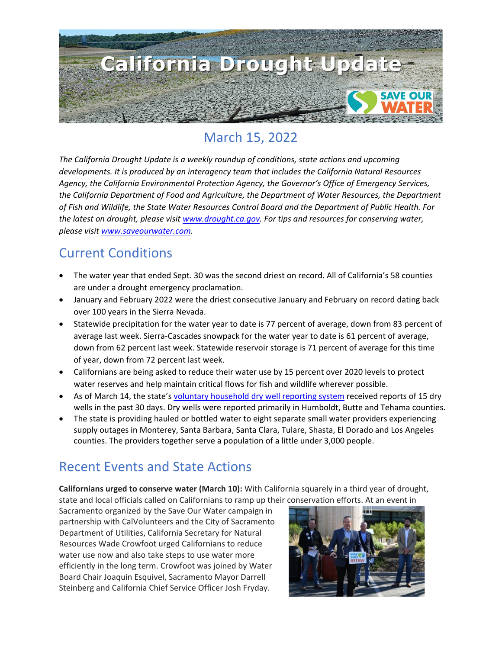

# March 15, 2022

*The California Drought Update is a weekly roundup of conditions, state actions and upcoming developments. It is produced by an interagency team that includes the California Natural Resources Agency, the California Environmental Protection Agency, the Governor's Office of Emergency Services, the California Department of Food and Agriculture, the Department of Water Resources, the Department of Fish and Wildlife, the State Water Resources Control Board and the Department of Public Health. For the latest on drought, please visit [www.drought.ca.gov.](http://www.drought.ca.gov/) For tips and resources for conserving water, please visit [www.saveourwater.com.](http://www.saveourwater.com/)* 

#### Current Conditions

- The water year that ended Sept. 30 was the second driest on record. All of California's 58 counties are under a drought emergency proclamation.
- January and February 2022 were the driest consecutive January and February on record dating back over 100 years in the Sierra Nevada.
- Statewide precipitation for the water year to date is 77 percent of average, down from 83 percent of average last week. Sierra-Cascades snowpack for the water year to date is 61 percent of average, down from 62 percent last week. Statewide reservoir storage is 71 percent of average for this time of year, down from 72 percent last week.
- Californians are being asked to reduce their water use by 15 percent over 2020 levels to protect water reserves and help maintain critical flows for fish and wildlife wherever possible.
- As of March 14, the state's [voluntary household dry well reporting system](https://mydrywell.water.ca.gov/report/) received reports of 15 dry wells in the past 30 days. Dry wells were reported primarily in Humboldt, Butte and Tehama counties.
- The state is providing hauled or bottled water to eight separate small water providers experiencing supply outages in Monterey, Santa Barbara, Santa Clara, Tulare, Shasta, El Dorado and Los Angeles counties. The providers together serve a population of a little under 3,000 people.

# Recent Events and State Actions

**Californians urged to conserve water (March 10):** With California squarely in a third year of drought, state and local officials called on Californians to ramp up their conservation efforts. At an event in

Sacramento organized by the Save Our Water campaign in partnership with CalVolunteers and the City of Sacramento Department of Utilities, California Secretary for Natural Resources Wade Crowfoot urged Californians to reduce water use now and also take steps to use water more efficiently in the long term. Crowfoot was joined by Water Board Chair Joaquin Esquivel, Sacramento Mayor Darrell Steinberg and California Chief Service Officer Josh Fryday.

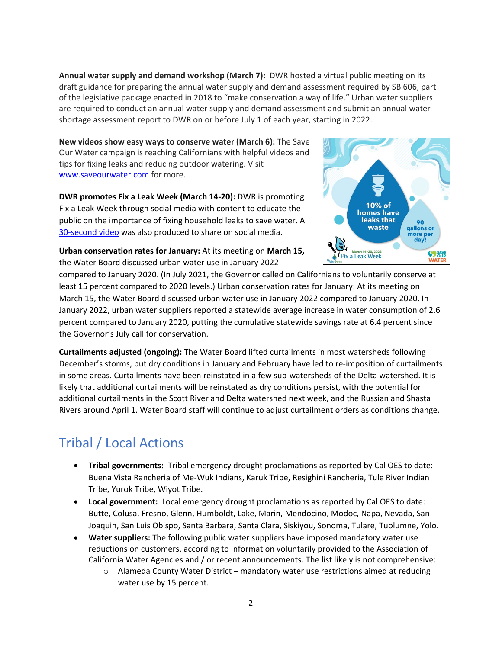**Annual water supply and demand workshop (March 7):** DWR hosted a virtual public meeting on its draft guidance for preparing the annual water supply and demand assessment required by SB 606, part of the legislative package enacted in 2018 to "make conservation a way of life." Urban water suppliers are required to conduct an annual water supply and demand assessment and submit an annual water shortage assessment report to DWR on or before July 1 of each year, starting in 2022.

**New videos show easy ways to conserve water (March 6):** The Save Our Water campaign is reaching Californians with helpful videos and tips for fixing leaks and reducing outdoor watering. Visit [www.saveourwater.com](http://www.saveourwater.com/) for more.

**DWR promotes Fix a Leak Week (March 14-20):** DWR is promoting Fix a Leak Week through social media with content to educate the public on the importance of fixing household leaks to save water. A [30-second video](https://www.youtube.com/watch?v=U8p0EMqBXCA) was also produced to share on social media.

**Urban conservation rates for January:** At its meeting on **March 15,** the Water Board discussed urban water use in January 2022



compared to January 2020. (In July 2021, the Governor called on Californians to voluntarily conserve at least 15 percent compared to 2020 levels.) Urban conservation rates for January: At its meeting on March 15, the Water Board discussed urban water use in January 2022 compared to January 2020. In January 2022, urban water suppliers reported a statewide average increase in water consumption of 2.6 percent compared to January 2020, putting the cumulative statewide savings rate at 6.4 percent since the Governor's July call for conservation.

**Curtailments adjusted (ongoing):** The Water Board lifted curtailments in most watersheds following December's storms, but dry conditions in January and February have led to re-imposition of curtailments in some areas. Curtailments have been reinstated in a few sub-watersheds of the Delta watershed. It is likely that additional curtailments will be reinstated as dry conditions persist, with the potential for additional curtailments in the Scott River and Delta watershed next week, and the Russian and Shasta Rivers around April 1. Water Board staff will continue to adjust curtailment orders as conditions change.

# Tribal / Local Actions

- **Tribal governments:** Tribal emergency drought proclamations as reported by Cal OES to date: Buena Vista Rancheria of Me-Wuk Indians, Karuk Tribe, Resighini Rancheria, Tule River Indian Tribe, Yurok Tribe, Wiyot Tribe.
- **Local government:** Local emergency drought proclamations as reported by Cal OES to date: Butte, Colusa, Fresno, Glenn, Humboldt, Lake, Marin, Mendocino, Modoc, Napa, Nevada, San Joaquin, San Luis Obispo, Santa Barbara, Santa Clara, Siskiyou, Sonoma, Tulare, Tuolumne, Yolo.
- **Water suppliers:** The following public water suppliers have imposed mandatory water use reductions on customers, according to information voluntarily provided to the Association of California Water Agencies and / or recent announcements. The list likely is not comprehensive:
	- o Alameda County Water District mandatory water use restrictions aimed at reducing water use by 15 percent.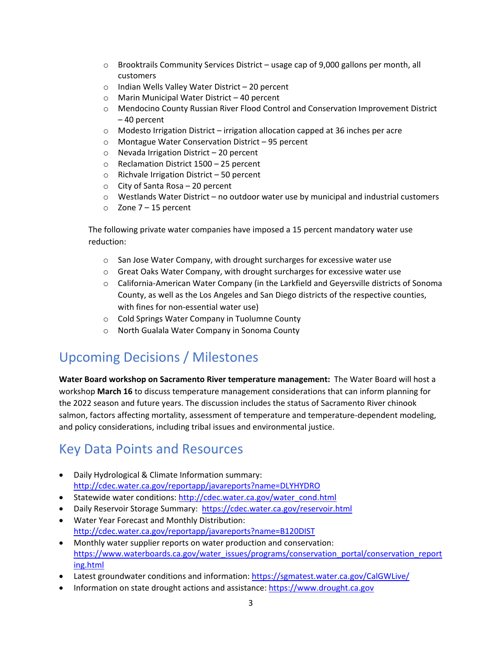- $\circ$  Brooktrails Community Services District usage cap of 9,000 gallons per month, all customers
- o Indian Wells Valley Water District 20 percent
- o Marin Municipal Water District 40 percent
- o Mendocino County Russian River Flood Control and Conservation Improvement District – 40 percent
- o Modesto Irrigation District irrigation allocation capped at 36 inches per acre
- o Montague Water Conservation District 95 percent
- o Nevada Irrigation District 20 percent
- o Reclamation District 1500 25 percent
- o Richvale Irrigation District 50 percent
- $\circ$  City of Santa Rosa 20 percent
- $\circ$  Westlands Water District no outdoor water use by municipal and industrial customers
- $\circ$  Zone 7 15 percent

The following private water companies have imposed a 15 percent mandatory water use reduction:

- o San Jose Water Company, with drought surcharges for excessive water use
- $\circ$  Great Oaks Water Company, with drought surcharges for excessive water use
- o California-American Water Company (in the Larkfield and Geyersville districts of Sonoma County, as well as the Los Angeles and San Diego districts of the respective counties, with fines for non-essential water use)
- o Cold Springs Water Company in Tuolumne County
- o North Gualala Water Company in Sonoma County

### Upcoming Decisions / Milestones

**Water Board workshop on Sacramento River temperature management:** The Water Board will host a workshop **March 16** to discuss temperature management considerations that can inform planning for the 2022 season and future years. The discussion includes the status of Sacramento River chinook salmon, factors affecting mortality, assessment of temperature and temperature-dependent modeling, and policy considerations, including tribal issues and environmental justice.

#### Key Data Points and Resources

- Daily Hydrological & Climate Information summary: <http://cdec.water.ca.gov/reportapp/javareports?name=DLYHYDRO>
- Statewide water conditions: http://cdec.water.ca.gov/water\_cond.html
- Daily Reservoir Storage Summary: https://cdec.water.ca.gov/reservoir.html
- [Water Year Forecast and Monthly Distribution:](http://cdec.water.ca.gov/reportapp/javareports?name=B120DIST) <http://cdec.water.ca.gov/reportapp/javareports?name=B120DIST>
- Monthly water supplier reports on water production and conservation: [https://www.waterboards.ca.gov/water\\_issues/programs/conservation\\_portal/conservation\\_report](https://www.waterboards.ca.gov/water_issues/programs/conservation_portal/conservation_reporting.html) [ing.html](https://www.waterboards.ca.gov/water_issues/programs/conservation_portal/conservation_reporting.html)
- Latest groundwater conditions and information: https://sgmatest.water.ca.gov/CalGWLive/
- Information on state drought actions and assistance: [https://www.drought.ca.gov](https://www.drought.ca.gov/)